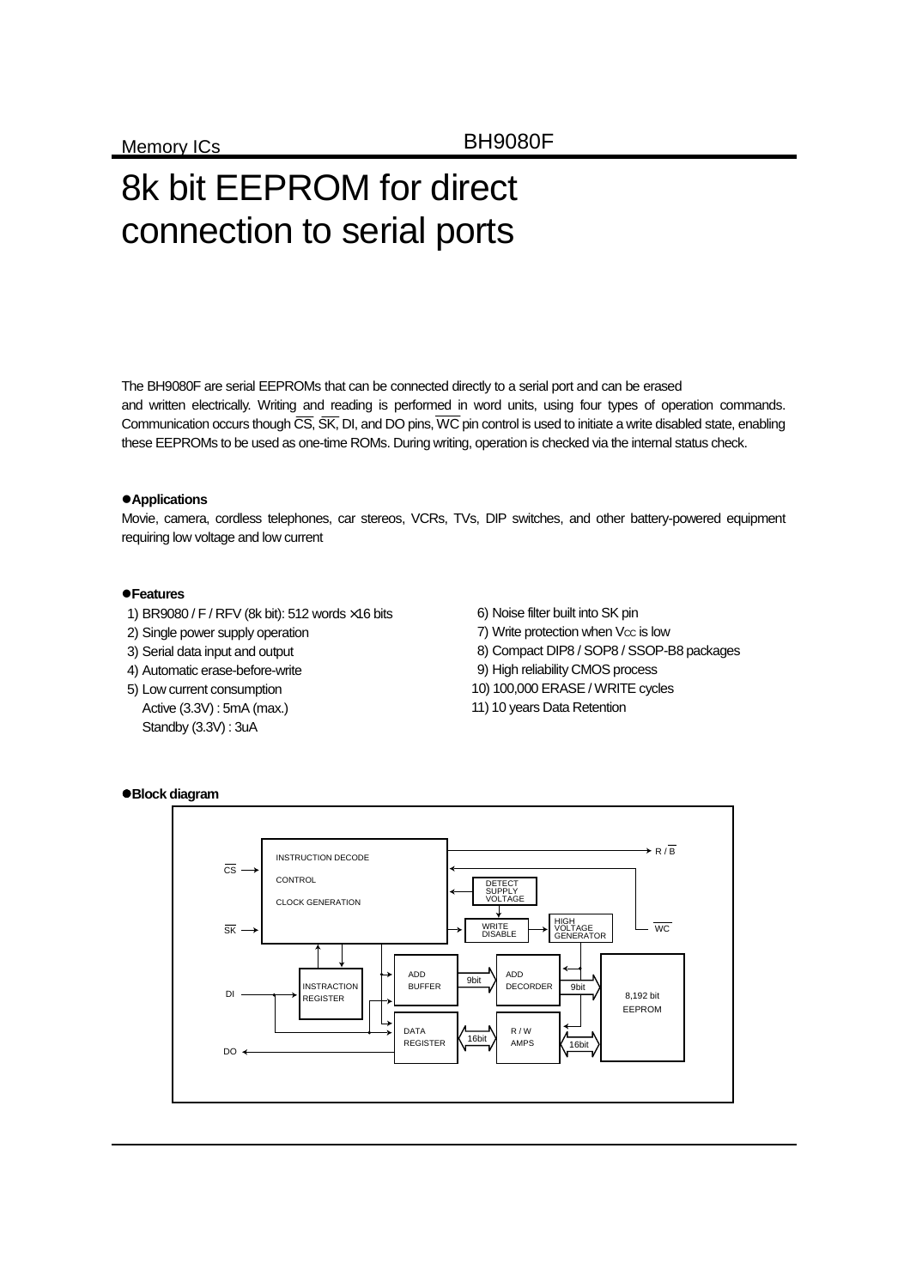# 8k bit EEPROM for direct connection to serial ports

The BH9080F are serial EEPROMs that can be connected directly to a serial port and can be erased and written electrically. Writing and reading is performed in word units, using four types of operation commands. Communication occurs though  $\overline{CS}$ ,  $\overline{SK}$ , DI, and DO pins,  $\overline{WC}$  pin control is used to initiate a write disabled state, enabling these EEPROMs to be used as one-time ROMs. During writing, operation is checked via the internal status check.

## $\bullet$  Applications

Movie, camera, cordless telephones, car stereos, VCRs, TVs, DIP switches, and other battery-powered equipment requiring low voltage and low current

## z**Features**

- 1) BR9080 / F / RFV (8k bit): 512 words ×16 bits
- 2) Single power supply operation
- 3) Serial data input and output
- 4) Automatic erase-before-write
- 5) Low current consumption Active (3.3V) : 5mA (max.) Standby (3.3V) : 3uA
- 6) Noise filter built into SK pin
- 7) Write protection when Vcc is low
- 8) Compact DIP8 / SOP8 / SSOP-B8 packages
- 9) High reliability CMOS process
- 10) 100,000 ERASE / WRITE cycles
- 11) 10 years Data Retention



### z**Block diagram**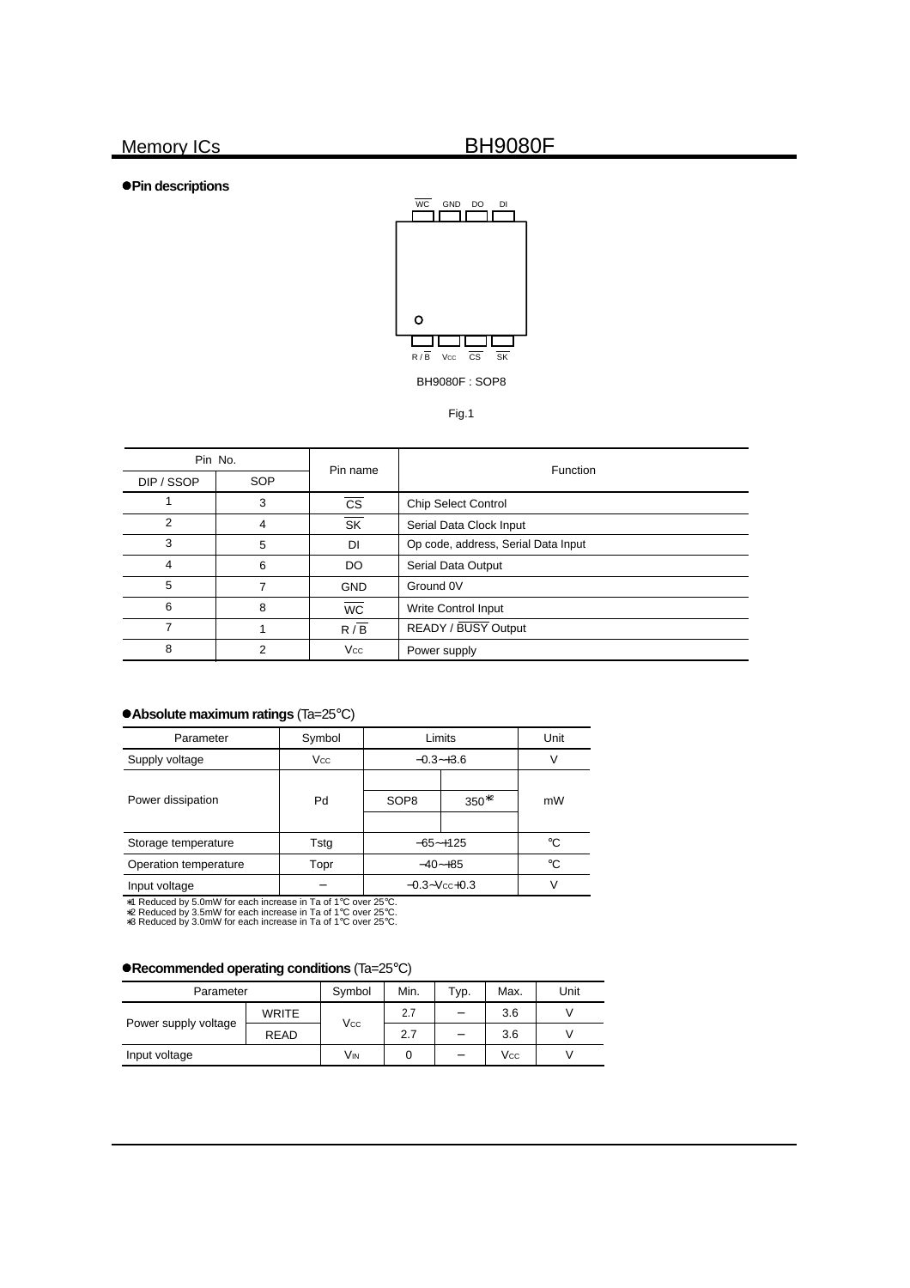z**Pin descriptions**



Fig.1

| Pin No.    |     | Pin name                 | <b>Function</b>                     |  |  |
|------------|-----|--------------------------|-------------------------------------|--|--|
| DIP / SSOP | SOP |                          |                                     |  |  |
|            | 3   | <b>CS</b>                | <b>Chip Select Control</b>          |  |  |
| 2          | 4   | $\overline{\mathsf{SK}}$ | Serial Data Clock Input             |  |  |
| 3          | 5   | DI                       | Op code, address, Serial Data Input |  |  |
| 4          | 6   | DO.                      | Serial Data Output                  |  |  |
| 5          | 7   | <b>GND</b>               | Ground 0V                           |  |  |
| 6          | 8   | <b>WC</b>                | <b>Write Control Input</b>          |  |  |
|            |     | $R/\overline{B}$         | READY / BUSY Output                 |  |  |
| 8          | 2   | Vcc                      | Power supply                        |  |  |

## z**Absolute maximum ratings** (Ta=25°C)

| Parameter             | Symbol     | Limits             | Unit        |             |
|-----------------------|------------|--------------------|-------------|-------------|
| Supply voltage        | <b>Vcc</b> | $-0.3 - +3.6$      |             |             |
| Power dissipation     | Pd         | SOP <sub>8</sub>   | $350^{*2}$  | mW          |
| Storage temperature   | Tstg       | $-65$ - $+125$     |             | $^{\circ}C$ |
| Operation temperature | Topr       |                    | $-40 - +85$ | °C          |
| Input voltage         |            | $-0.3 - Vcc + 0.3$ |             |             |

∗1 Reduced by 5.0mW for each increase in Ta of 1°C over 25°C. ∗2 Reduced by 3.5mW for each increase in Ta of 1°C over 25°C. ∗3 Reduced by 3.0mW for each increase in Ta of 1°C over 25°C.

z**Recommended operating conditions** (Ta=25°C)

| Parameter            | Symbol       | Min. | Typ.                     | Max.                     | Unit |  |
|----------------------|--------------|------|--------------------------|--------------------------|------|--|
|                      | <b>WRITE</b> | Vcc  | 2.7                      | $\equiv$                 | 3.6  |  |
| Power supply voltage | <b>READ</b>  |      | 2.7                      | $\overline{\phantom{0}}$ | 3.6  |  |
| Input voltage        | VIN          |      | $\overline{\phantom{0}}$ | <b>Vcc</b>               |      |  |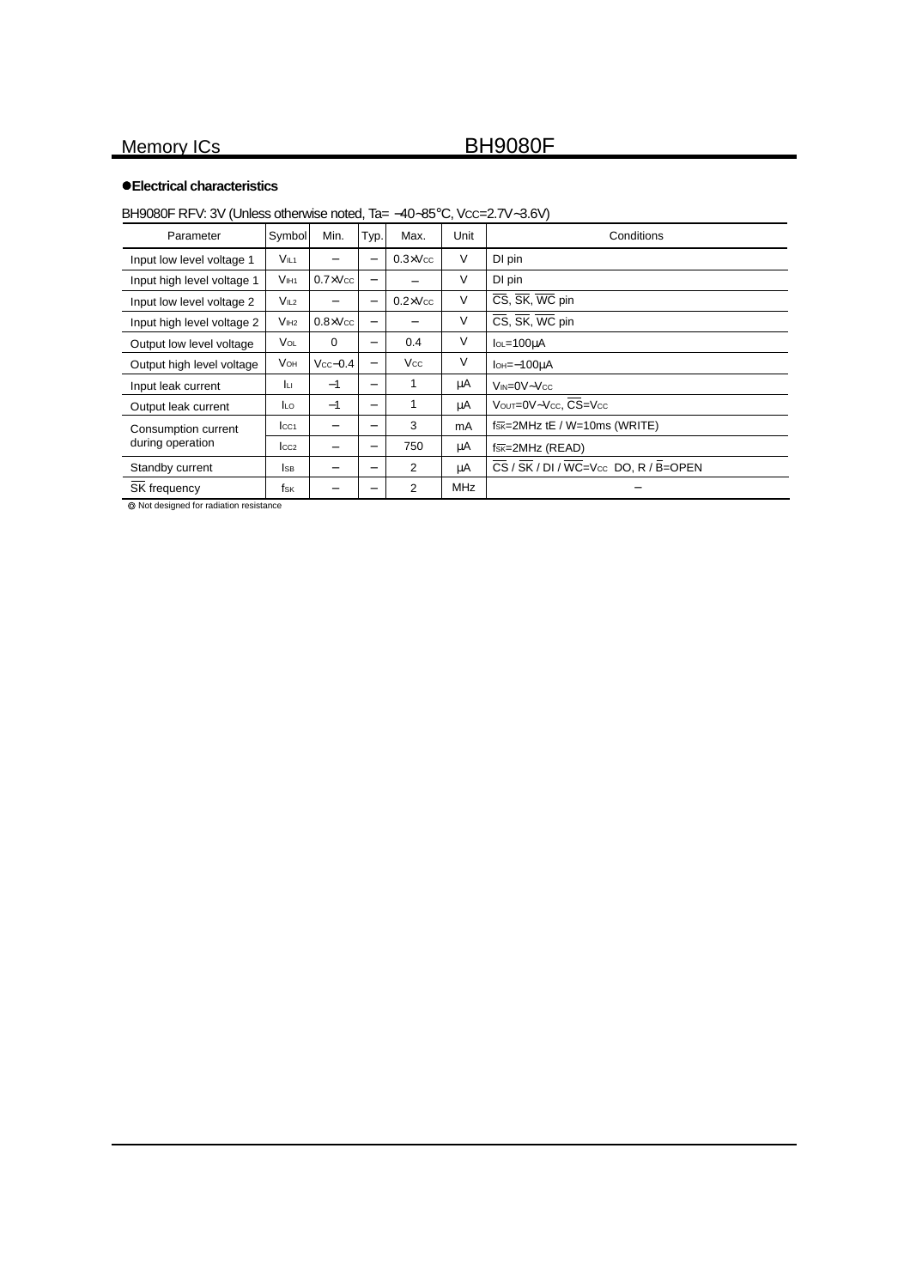## z**Electrical characteristics**

## BH9080F RFV: 3V (Unless otherwise noted, Ta= -40~85°C, Vcc=2.7V~3.6V)

| Parameter                  | Symbol           | Min.              | Typ.                         | Max.              | Unit       | Conditions                                                                   |
|----------------------------|------------------|-------------------|------------------------------|-------------------|------------|------------------------------------------------------------------------------|
| Input low level voltage 1  | V <sub>IL1</sub> |                   | $\qquad \qquad -$            | $0.3 \times V$ cc | $\vee$     | DI pin                                                                       |
| Input high level voltage 1 | V <sub>IH1</sub> | $0.7 \times V$ cc | -                            |                   | V          | DI pin                                                                       |
| Input low level voltage 2  | V <sub>IL2</sub> |                   |                              | $0.2 \times V$ cc | $\vee$     | CS, SK, WC pin                                                               |
| Input high level voltage 2 | V <sub>IH2</sub> | $0.8 \times V$ cc | $\qquad \qquad$              |                   | V          | CS, SK, WC pin                                                               |
| Output low level voltage   | VOL              | $\Omega$          | $\qquad \qquad$              | 0.4               | V          | $IOL = 100uA$                                                                |
| Output high level voltage  | <b>V</b> он      | $Vcc-0.4$         | $\qquad \qquad -$            | <b>Vcc</b>        | V          | $I$ <sub>OH</sub> $=-100\mu$ A                                               |
| Input leak current         | Jш               | $-1$              | $\qquad \qquad$              |                   | μA         | $V_{IN} = 0V - V_{CC}$                                                       |
| Output leak current        | <b>ILO</b>       | $-1$              | $\qquad \qquad -$            |                   | μA         | Vout=0V~Vcc, CS=Vcc                                                          |
| Consumption current        | $ _{CC1}$        |                   | $\overline{\phantom{0}}$     | 3                 | mA         | $f_{SK}=2MHz$ tE / W=10ms (WRITE)                                            |
| during operation           | $_{\text{LCC2}}$ |                   | $\qquad \qquad \blacksquare$ | 750               | μA         | $f_{\overline{SK}} = 2MHZ$ (READ)                                            |
| Standby current            | <b>I</b> SB      |                   | $\qquad \qquad \blacksquare$ | $\overline{2}$    | μA         | $\overline{\text{CS}}$ / $\overline{\text{SK}}$ / DI / WC=Vcc DO, R / B=OPEN |
| SK frequency               | fsk              |                   | -                            | 2                 | <b>MHz</b> |                                                                              |

Not designed for radiation resistance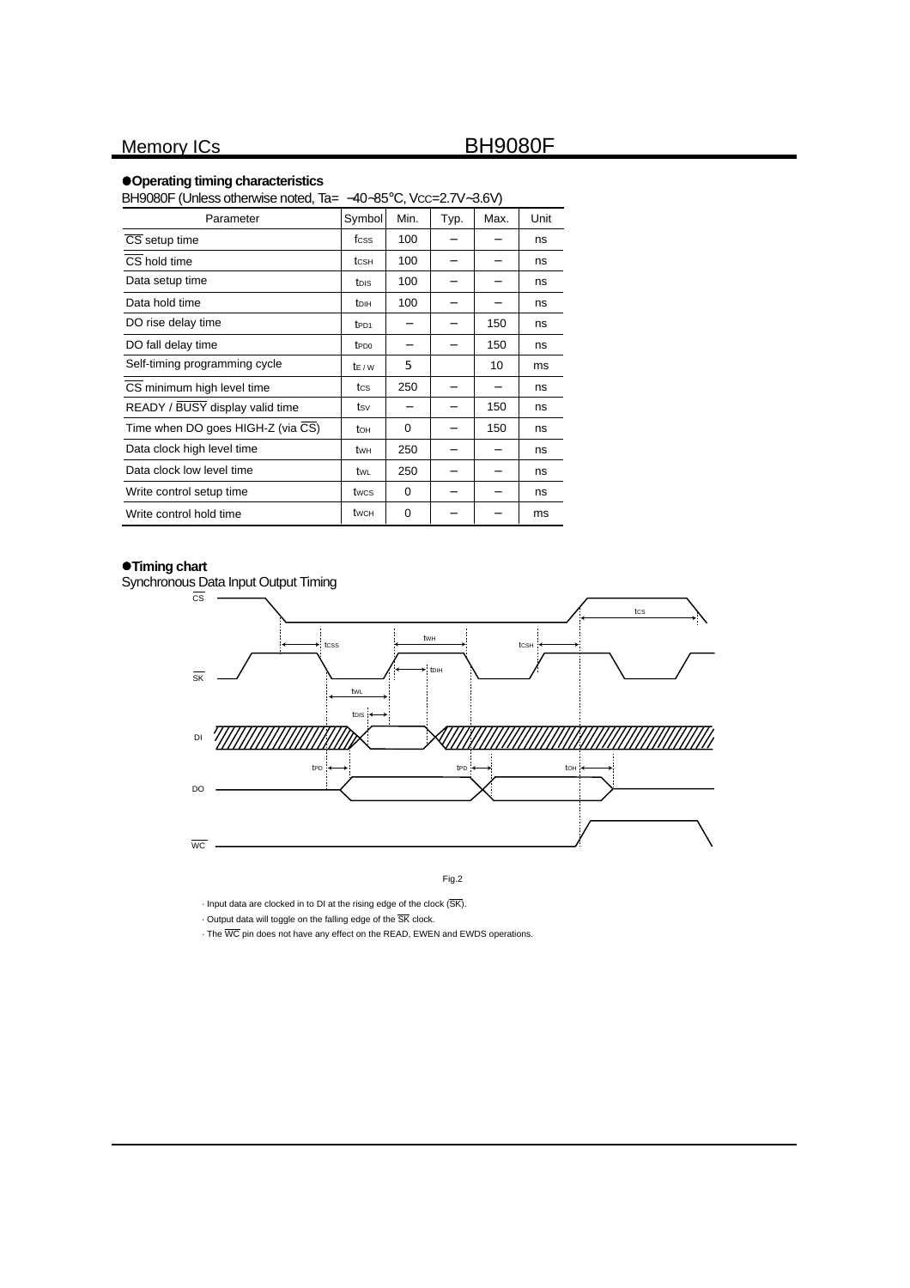### z**Operating timing characteristics**

| BH9080F (Unless otherwise noted, Ta= -40~85°C, Vcc=2.7V~3.6V) |                  |          |      |      |      |  |  |  |
|---------------------------------------------------------------|------------------|----------|------|------|------|--|--|--|
| Parameter                                                     | Symbol           | Min.     | Typ. | Max. | Unit |  |  |  |
| CS setup time                                                 | fcss             | 100      |      |      | ns   |  |  |  |
| CS hold time                                                  | tcsн             | 100      |      |      | ns   |  |  |  |
| Data setup time                                               | tois             | 100      |      |      | ns   |  |  |  |
| Data hold time                                                | t <sub>DIH</sub> | 100      |      |      | ns   |  |  |  |
| DO rise delay time                                            | t <sub>PD1</sub> |          |      | 150  | ns   |  |  |  |
| DO fall delay time                                            | t <sub>PD0</sub> | -        |      | 150  | ns   |  |  |  |
| Self-timing programming cycle                                 | $t_{F/W}$        | 5        |      | 10   | ms   |  |  |  |
| CS minimum high level time                                    | tcs              | 250      |      |      | ns   |  |  |  |
| READY / BUSY display valid time                               | tsv              | -        |      | 150  | ns   |  |  |  |
| Time when DO goes HIGH-Z (via CS)                             | tон              | 0        |      | 150  | ns   |  |  |  |
| Data clock high level time                                    | twн              | 250      |      |      | ns   |  |  |  |
| Data clock low level time                                     | twl              | 250      |      |      | ns   |  |  |  |
| Write control setup time                                      | twcs             | 0        |      |      | ns   |  |  |  |
| Write control hold time                                       | twch             | $\Omega$ |      |      | ms   |  |  |  |

## $\bullet$ **Timing chart**

Synchronous Data Input Output Timing



Fig.2

 $\cdot$  Input data are clocked in to DI at the rising edge of the clock  $(\overline{\mathsf{SK}})$ .

 $\cdot$  Output data will toggle on the falling edge of the  $\overline{\mathsf{SK}}$  clock.

• The WC pin does not have any effect on the READ, EWEN and EWDS operations.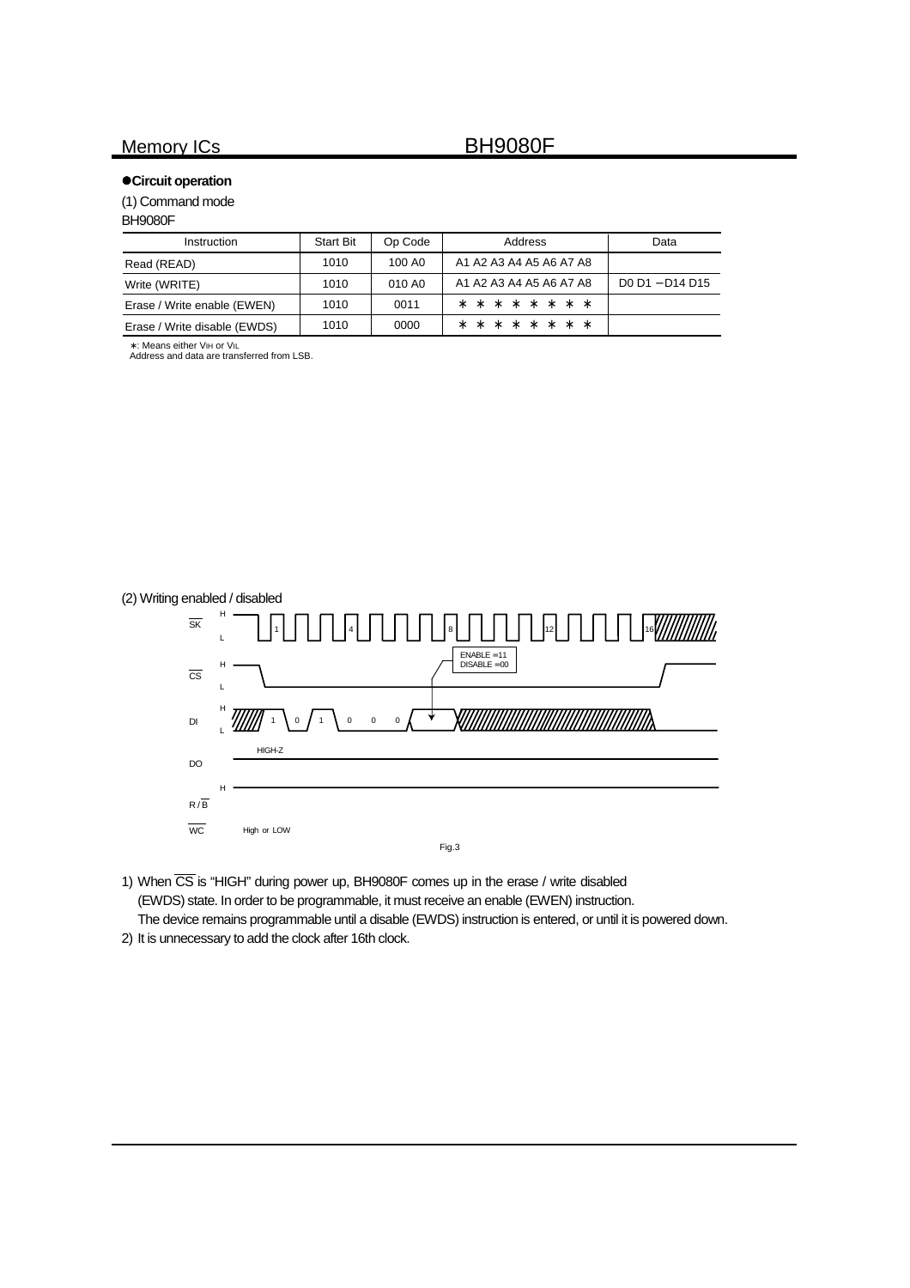## $\bullet$  **Circuit operation**

(1) Command mode

### BH9080F

| <b>Instruction</b>           | <b>Start Bit</b> | Op Code | Address                 | Data            |
|------------------------------|------------------|---------|-------------------------|-----------------|
| Read (READ)                  | 1010             | 100 AO  | A1 A2 A3 A4 A5 A6 A7 A8 |                 |
| Write (WRITE)                | 1010             | 010 AO  | A1 A2 A3 A4 A5 A6 A7 A8 | D0 D1 - D14 D15 |
| Erase / Write enable (EWEN)  | 1010             | 0011    | * * * * * * * *         |                 |
| Erase / Write disable (EWDS) | 1010             | 0000    | * * * * * * * *         |                 |

∗ : Means either VIH or VIL

Address and data are transferred from LSB.



1) When  $\overline{\text{CS}}$  is "HIGH" during power up, BH9080F comes up in the erase / write disabled (EWDS) state. In order to be programmable, it must receive an enable (EWEN) instruction. The device remains programmable until a disable (EWDS) instruction is entered, or until it is powered down.

2) It is unnecessary to add the clock after 16th clock.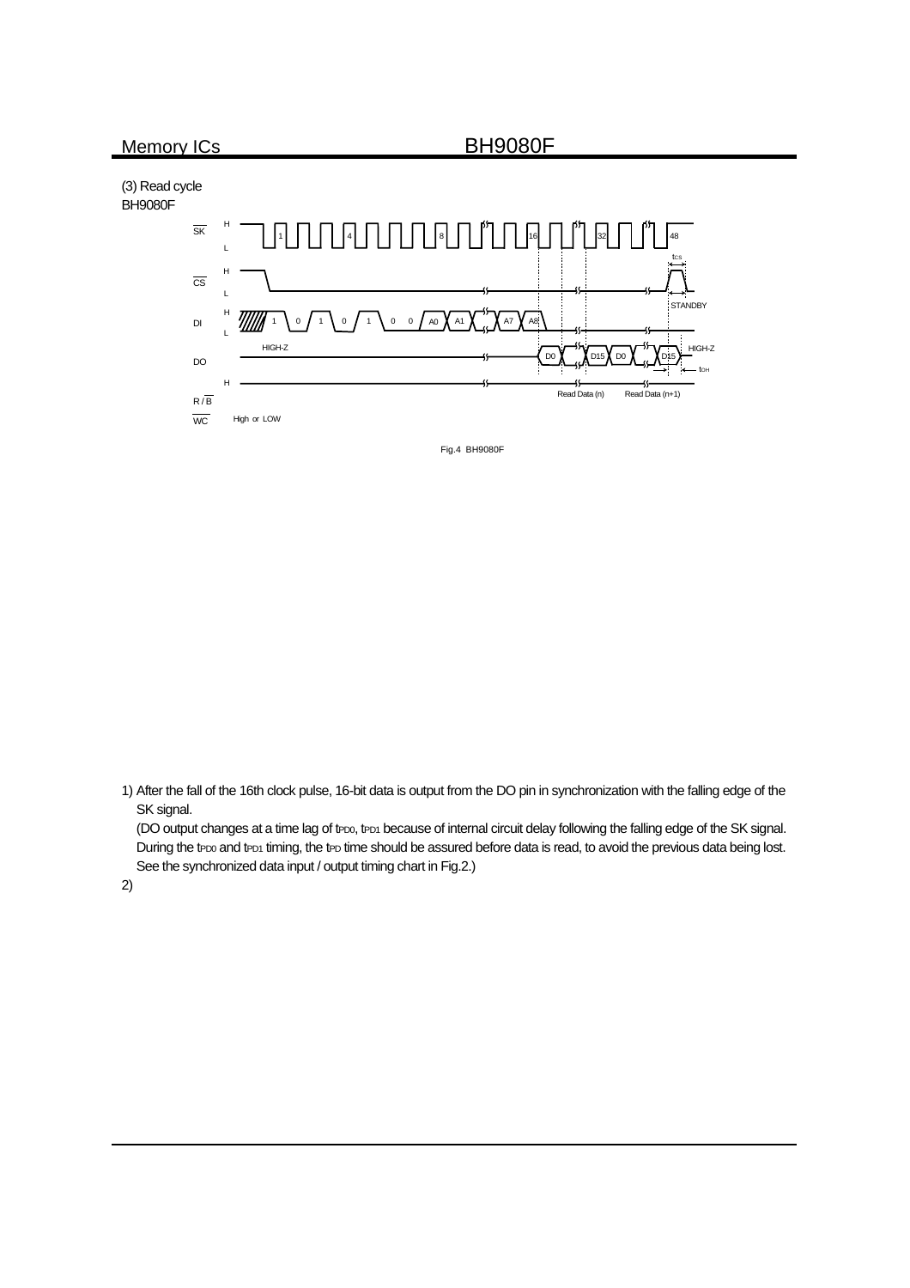(3) Read cycle BH9080F



Fig.4 BH9080F

1) After the fall of the 16th clock pulse, 16-bit data is output from the DO pin in synchronization with the falling edge of the SK signal.

(DO output changes at a time lag of tPD0, tPD1 because of internal circuit delay following the falling edge of the SK signal. During the tPD0 and tPD1 timing, the tPD time should be assured before data is read, to avoid the previous data being lost. See the synchronized data input / output timing chart in Fig.2.)

2)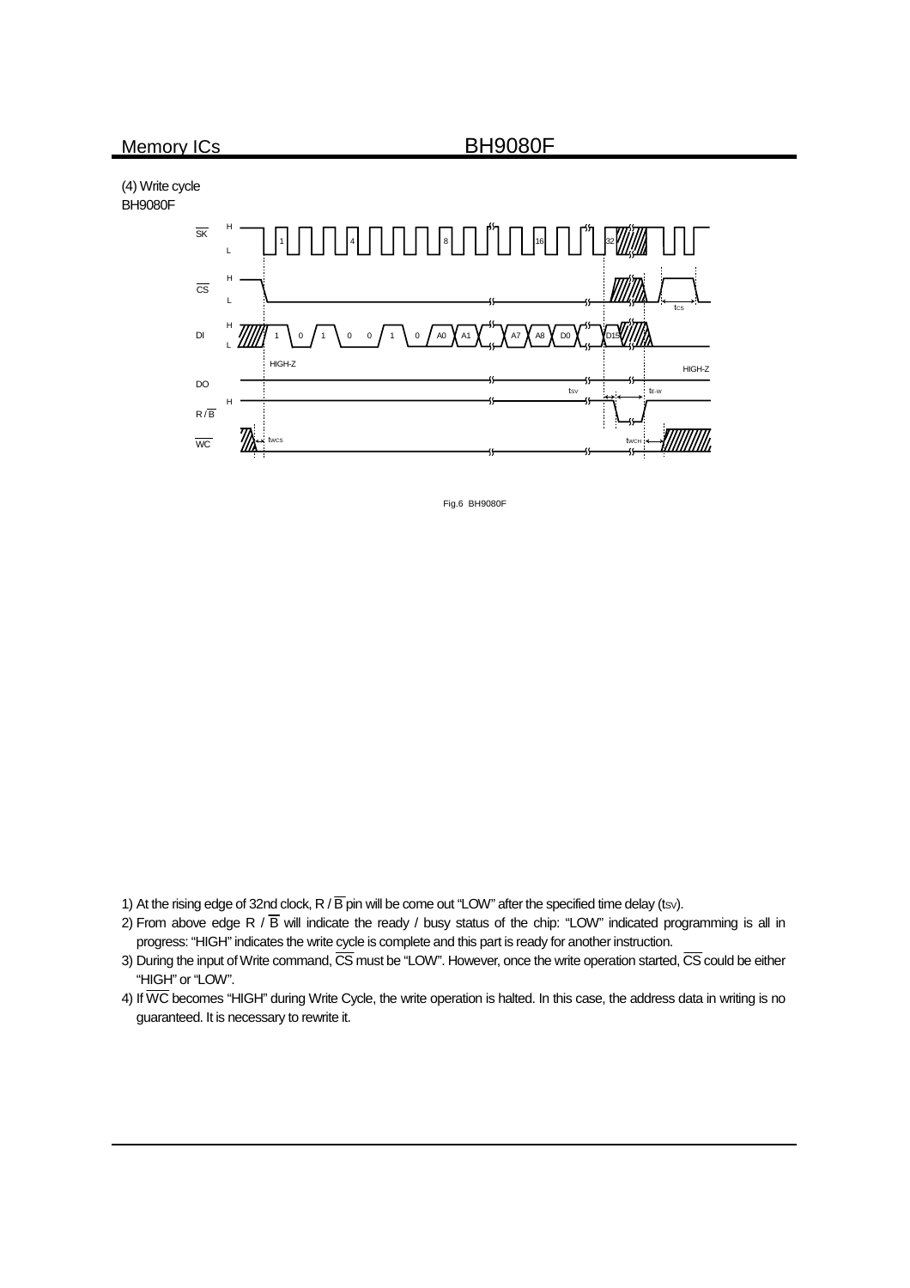(4) Write cycle BH9080F



Fig.6 BH9080F

1) At the rising edge of 32nd clock, R /  $\overline{B}$  pin will be come out "LOW" after the specified time delay (tsv).

- 2) From above edge R /  $\overline{B}$  will indicate the ready / busy status of the chip: "LOW" indicated programming is all in progress: "HIGH" indicates the write cycle is complete and this part is ready for another instruction.
- 3) During the input of Write command,  $\overline{CS}$  must be "LOW". However, once the write operation started,  $\overline{CS}$  could be either "HIGH" or "LOW".
- 4) If  $\overline{\text{WC}}$  becomes "HIGH" during Write Cycle, the write operation is halted. In this case, the address data in writing is no guaranteed. It is necessary to rewrite it.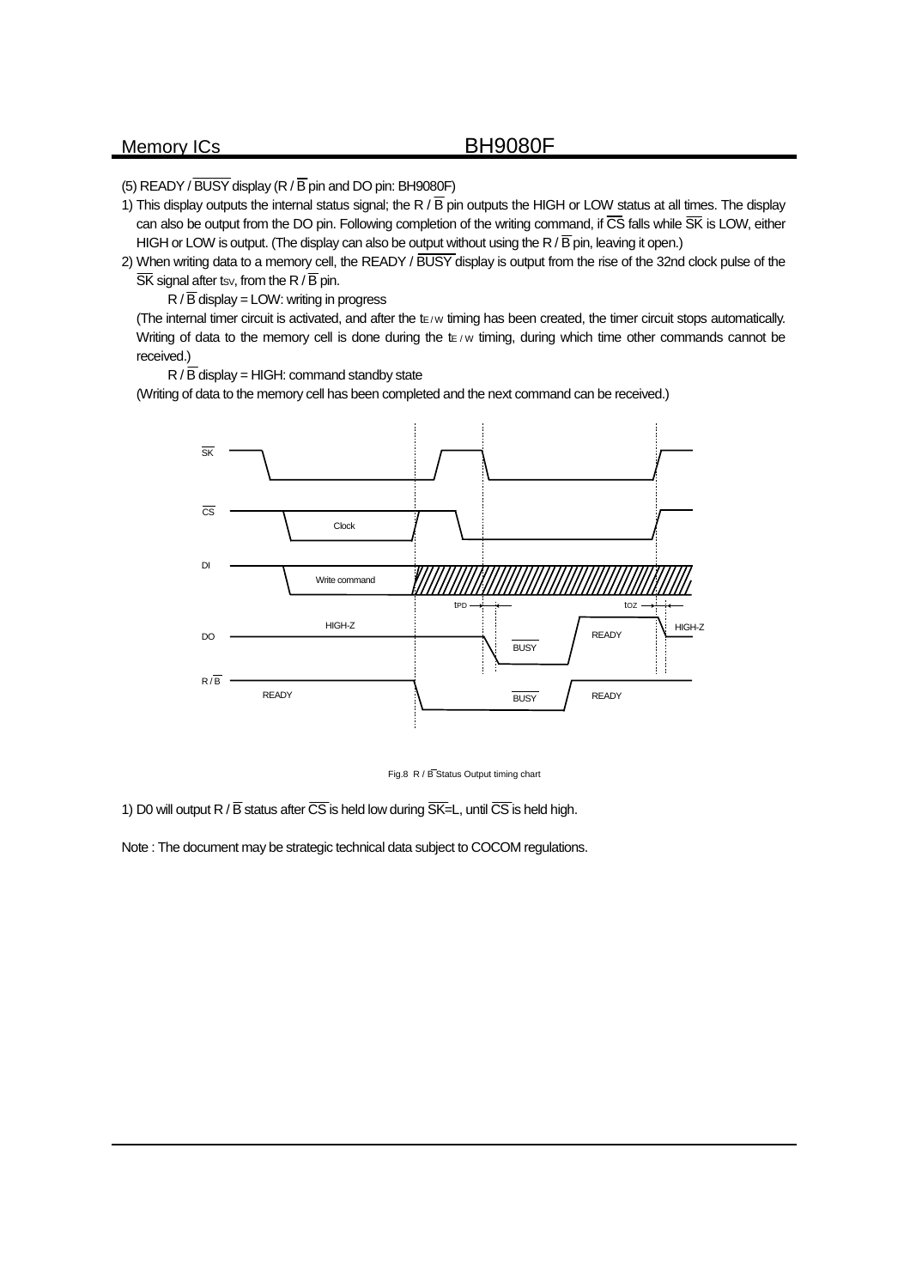(5) READY /  $\overline{BUSY}$  display (R /  $\overline{B}$  pin and DO pin: BH9080F)

- 1) This display outputs the internal status signal; the R  $/$  B pin outputs the HIGH or LOW status at all times. The display can also be output from the DO pin. Following completion of the writing command, if CS falls while SK is LOW, either HIGH or LOW is output. (The display can also be output without using the R /  $\overline{B}$  pin, leaving it open.)
- 2) When writing data to a memory cell, the READY / BUSY display is output from the rise of the 32nd clock pulse of the  $\overline{\text{SK}}$  signal after tsv, from the R /  $\overline{\text{B}}$  pin.

 $R / \overline{B}$  display = LOW: writing in progress

(The internal timer circuit is activated, and after the te/w timing has been created, the timer circuit stops automatically. Writing of data to the memory cell is done during the  $t \in \forall w$  timing, during which time other commands cannot be received.)

 $R / \overline{B}$  display = HIGH: command standby state

(Writing of data to the memory cell has been completed and the next command can be received.)



Fig.8 R / B Status Output timing chart

1) D0 will output R /  $\overline{B}$  status after  $\overline{CS}$  is held low during  $\overline{SK}$ =L, until  $\overline{CS}$  is held high.

Note : The document may be strategic technical data subject to COCOM regulations.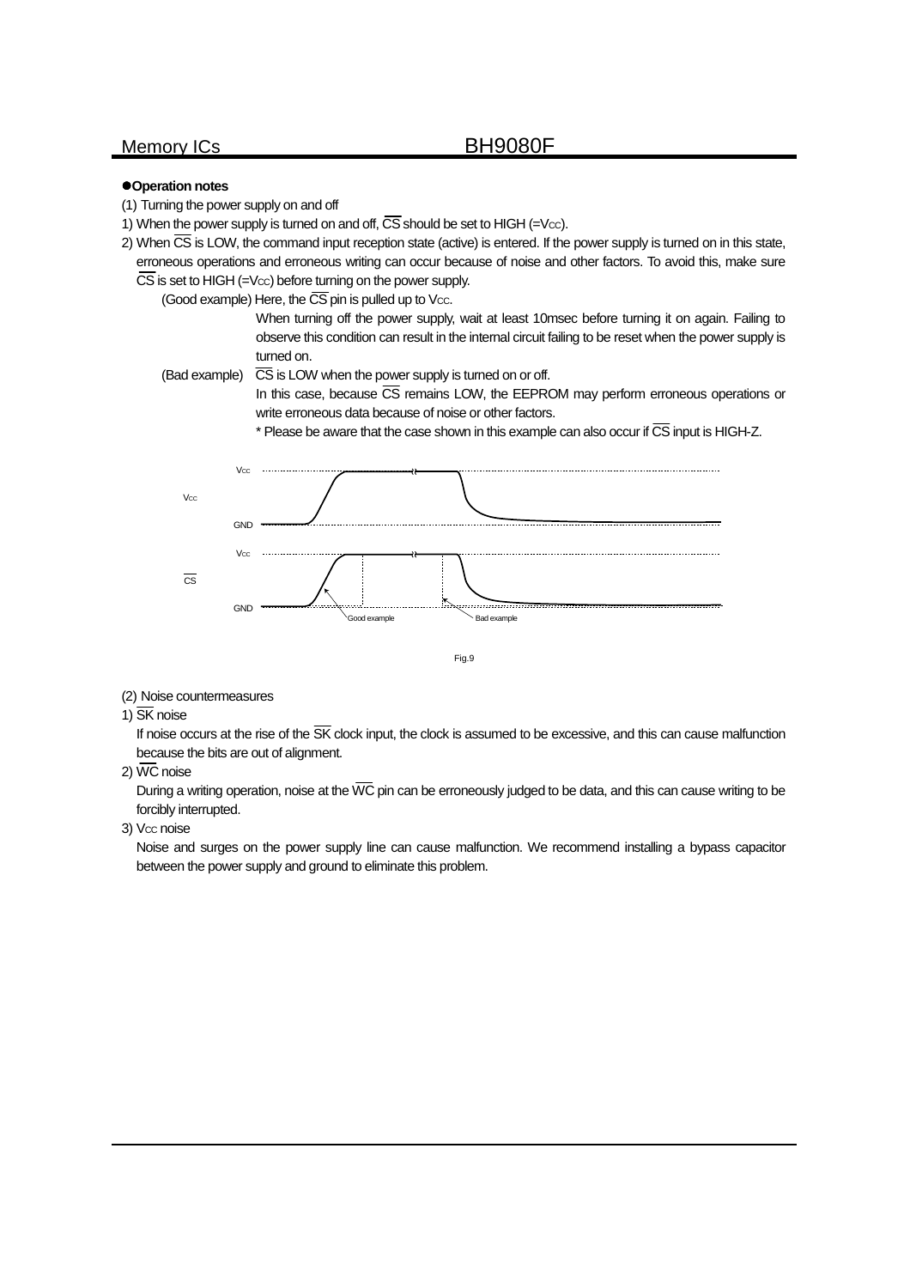## z**Operation notes**

- (1) Turning the power supply on and off
- 1) When the power supply is turned on and off,  $\overline{\text{CS}}$  should be set to HIGH (=Vcc).
- 2) When  $\overline{CS}$  is LOW, the command input reception state (active) is entered. If the power supply is turned on in this state, erroneous operations and erroneous writing can occur because of noise and other factors. To avoid this, make sure  $\overline{\text{CS}}$  is set to HIGH (=Vcc) before turning on the power supply.

(Good example) Here, the  $\overline{\text{CS}}$  pin is pulled up to Vcc.

When turning off the power supply, wait at least 10msec before turning it on again. Failing to observe this condition can result in the internal circuit failing to be reset when the power supply is turned on.

(Bad example)  $\overline{CS}$  is LOW when the power supply is turned on or off.

In this case, because  $\overline{\text{CS}}$  remains LOW, the EEPROM may perform erroneous operations or write erroneous data because of noise or other factors.

 $*$  Please be aware that the case shown in this example can also occur if  $\overline{\text{CS}}$  input is HIGH-Z.



Fig.9

(2) Noise countermeasures

## 1) SK noise

If noise occurs at the rise of the  $\overline{\text{SK}}$  clock input, the clock is assumed to be excessive, and this can cause malfunction because the bits are out of alignment.

### 2)  $\overline{\text{WC}}$  noise

During a writing operation, noise at the  $\overline{WC}$  pin can be erroneously judged to be data, and this can cause writing to be forcibly interrupted.

### 3) Vcc noise

Noise and surges on the power supply line can cause malfunction. We recommend installing a bypass capacitor between the power supply and ground to eliminate this problem.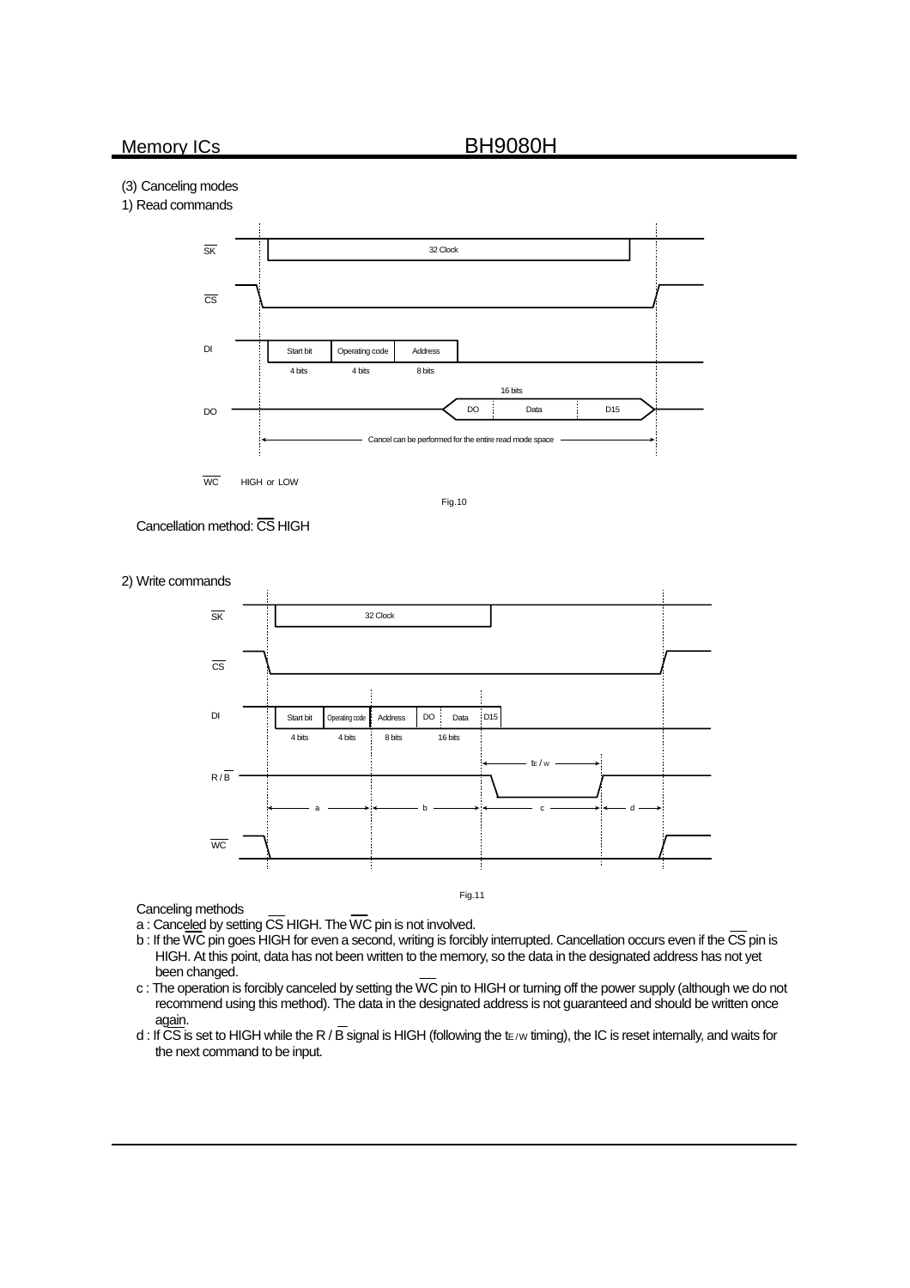## (3) Canceling modes





Fig.10





2) Write commands

Canceling methods

a : Canceled by setting CS HIGH. The WC pin is not involved.

 $b$  : If the WC pin goes HIGH for even a second, writing is forcibly interrupted. Cancellation occurs even if the  $\overline{\text{CS}}$  pin is HIGH. At this point, data has not been written to the memory, so the data in the designated address has not yet been changed.

Fig.11

- c : The operation is forcibly canceled by setting the WC pin to HIGH or turning off the power supply (although we do not recommend using this method). The data in the designated address is not guaranteed and should be written once again.
- d : If CS is set to HIGH while the R / B signal is HIGH (following the tE/w timing), the IC is reset internally, and waits for the next command to be input.